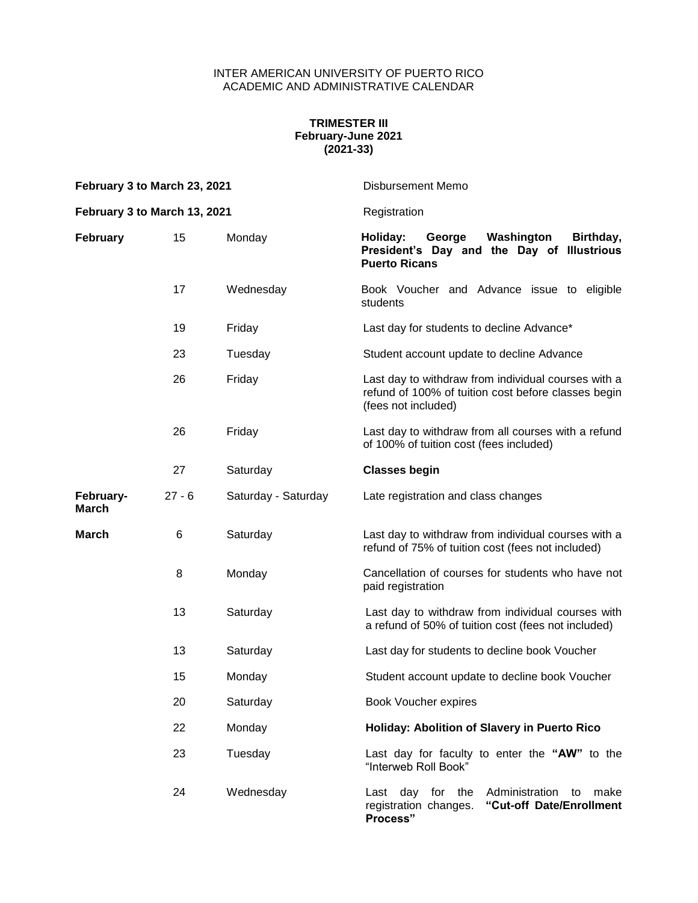## INTER AMERICAN UNIVERSITY OF PUERTO RICO ACADEMIC AND ADMINISTRATIVE CALENDAR

## **TRIMESTER III February-June 2021 (2021-33)**

| February 3 to March 23, 2021<br>February 3 to March 13, 2021 |          |                     | Disbursement Memo                                                                                                                 |
|--------------------------------------------------------------|----------|---------------------|-----------------------------------------------------------------------------------------------------------------------------------|
|                                                              |          |                     | Registration                                                                                                                      |
| <b>February</b>                                              | 15       | Monday              | Holiday:<br>George<br>Washington<br>Birthday,<br>President's Day and the Day of Illustrious<br><b>Puerto Ricans</b>               |
|                                                              | 17       | Wednesday           | Book Voucher and Advance issue to eligible<br>students                                                                            |
|                                                              | 19       | Friday              | Last day for students to decline Advance*                                                                                         |
|                                                              | 23       | Tuesday             | Student account update to decline Advance                                                                                         |
|                                                              | 26       | Friday              | Last day to withdraw from individual courses with a<br>refund of 100% of tuition cost before classes begin<br>(fees not included) |
|                                                              | 26       | Friday              | Last day to withdraw from all courses with a refund<br>of 100% of tuition cost (fees included)                                    |
|                                                              | 27       | Saturday            | <b>Classes begin</b>                                                                                                              |
| February-<br>March                                           | $27 - 6$ | Saturday - Saturday | Late registration and class changes                                                                                               |
| <b>March</b>                                                 | 6        | Saturday            | Last day to withdraw from individual courses with a<br>refund of 75% of tuition cost (fees not included)                          |
|                                                              | 8        | Monday              | Cancellation of courses for students who have not<br>paid registration                                                            |
|                                                              | 13       | Saturday            | Last day to withdraw from individual courses with<br>a refund of 50% of tuition cost (fees not included)                          |
|                                                              | 13       | Saturday            | Last day for students to decline book Voucher                                                                                     |
|                                                              | 15       | Monday              | Student account update to decline book Voucher                                                                                    |
|                                                              | 20       | Saturday            | Book Voucher expires                                                                                                              |
|                                                              | 22       | Monday              | Holiday: Abolition of Slavery in Puerto Rico                                                                                      |
|                                                              | 23       | Tuesday             | Last day for faculty to enter the "AW" to the<br>"Interweb Roll Book"                                                             |
|                                                              | 24       | Wednesday           | Last day for the<br>Administration<br>make<br>to<br>registration changes.<br>"Cut-off Date/Enrollment<br>Process"                 |